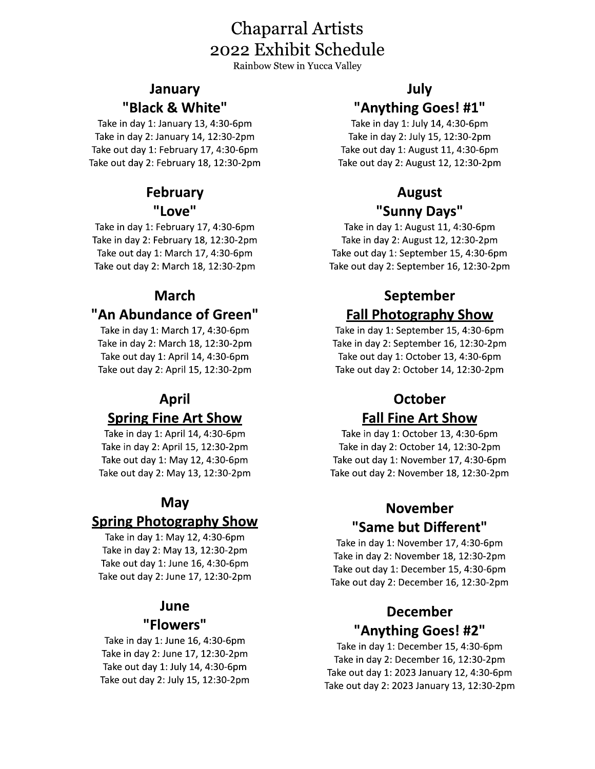## Chaparral Artists 2022 Exhibit Schedule

Rainbow Stew in Yucca Valley

Chaparral<br>2022 Exhibit<br>Rainbow Stew in 1<br>**January**<br>**Black & White"**<br>Take in day 1: January 13, 4:30-6pm<br>Take in day 1: February 14, 12:30-2pm<br>Take out day 1: February 17, 4:30-6pm<br>**February**<br>**February**<br>**COVE"**<br>Take in day

### **March**

### "An Abundance of Green"

Take in day 1: March 17, 4:30-6pm Take in day 2: March 18, 12:30-2pm Take out day 1: April 14, 4:30-6pm Take out day 2: April 15, 12:30-2pm

### April Spring Fine Art Show

Take in day 1: April 14, 4:30-6pm Take in day 2: April 15, 12:30-2pm

Take out day 1: May 12, 4:30-6pm Take out day 2: May 13, 12:30-2pm

### May

### Spring Photography Show

Take in day 1: May 12, 4:30-6pm Take in day 2: May 13, 12:30-2pm Take out day 1: June 16, 4:30-6pm Take out day 2: June 17, 12:30-2pm

### **June**

### "Flowers"

Take in day 1: June 16, 4:30-6pm Take in day 2: June 17, 12:30-2pm Take out day 1: July 14, 4:30-6pm<br>Take out day 2: July 15, 12:30-2pm

**Paths (A):**  $\frac{1}{2}$ <br> **Paths (A):**  $\frac{1}{2}$ <br> **Paths (A):**  $\frac{1}{2}$ <br> **Paths (A):**  $\frac{1}{2}$ <br> **Paths (A):**  $\frac{1}{2}$ <br> **Paths (A):**  $\frac{1}{2}$ <br> **Paths (A):**  $\frac{1}{2}$ <br> **Paths (A):**  $\frac{1}{2}$ <br> **Paths (A):**  $\frac{1}{2}$ <br> **Path**